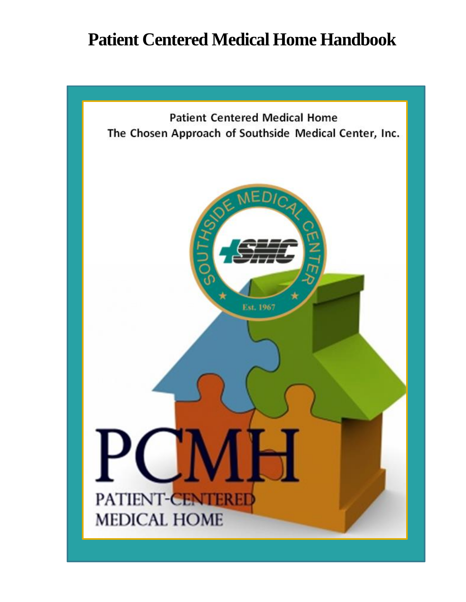# **Patient Centered Medical Home Handbook**

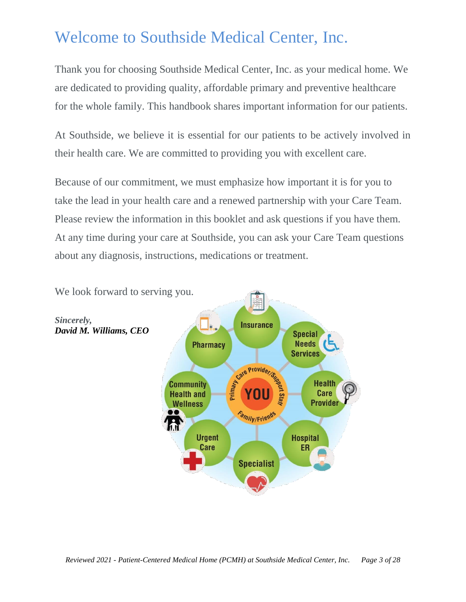# Welcome to Southside Medical Center, Inc.

Thank you for choosing Southside Medical Center, Inc. as your medical home. We are dedicated to providing quality, affordable primary and preventive healthcare for the whole family. This handbook shares important information for our patients.

At Southside, we believe it is essential for our patients to be actively involved in their health care. We are committed to providing you with excellent care.

Because of our commitment, we must emphasize how important it is for you to take the lead in your health care and a renewed partnership with your Care Team. Please review the information in this booklet and ask questions if you have them. At any time during your care at Southside, you can ask your Care Team questions about any diagnosis, instructions, medications or treatment.

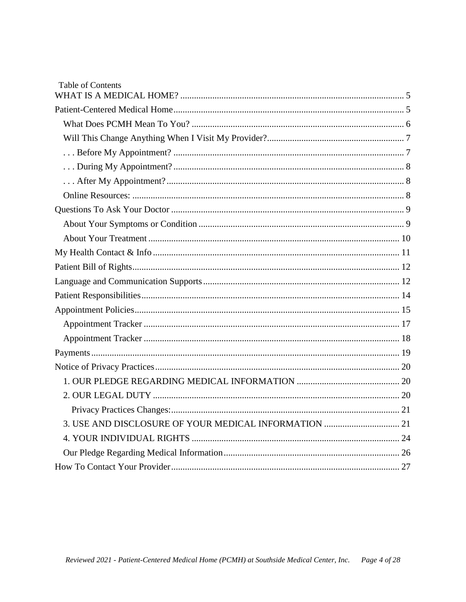| <b>Table of Contents</b> |  |
|--------------------------|--|
|                          |  |
|                          |  |
|                          |  |
|                          |  |
|                          |  |
|                          |  |
|                          |  |
|                          |  |
|                          |  |
|                          |  |
|                          |  |
|                          |  |
|                          |  |
|                          |  |
|                          |  |
|                          |  |
|                          |  |
|                          |  |
|                          |  |
|                          |  |
|                          |  |
|                          |  |
|                          |  |
|                          |  |
|                          |  |
|                          |  |
|                          |  |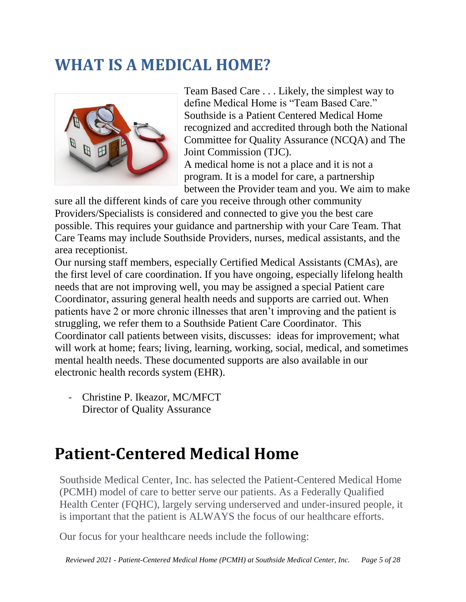# <span id="page-4-0"></span>**WHAT IS A MEDICAL HOME?**



Team Based Care . . . Likely, the simplest way to define Medical Home is "Team Based Care." Southside is a Patient Centered Medical Home recognized and accredited through both the National Committee for Quality Assurance (NCQA) and The Joint Commission (TJC).

A medical home is not a place and it is not a program. It is a model for care, a partnership between the Provider team and you. We aim to make

sure all the different kinds of care you receive through other community Providers/Specialists is considered and connected to give you the best care possible. This requires your guidance and partnership with your Care Team. That Care Teams may include Southside Providers, nurses, medical assistants, and the area receptionist.

Our nursing staff members, especially Certified Medical Assistants (CMAs), are the first level of care coordination. If you have ongoing, especially lifelong health needs that are not improving well, you may be assigned a special Patient care Coordinator, assuring general health needs and supports are carried out. When patients have 2 or more chronic illnesses that aren't improving and the patient is struggling, we refer them to a Southside Patient Care Coordinator. This Coordinator call patients between visits, discusses: ideas for improvement; what will work at home; fears; living, learning, working, social, medical, and sometimes mental health needs. These documented supports are also available in our electronic health records system (EHR).

- Christine P. Ikeazor, MC/MFCT Director of Quality Assurance

# <span id="page-4-1"></span>**Patient-Centered Medical Home**

Southside Medical Center, Inc. has selected the Patient-Centered Medical Home (PCMH) model of care to better serve our patients. As a Federally Qualified Health Center (FQHC), largely serving underserved and under-insured people, it is important that the patient is ALWAYS the focus of our healthcare efforts.

Our focus for your healthcare needs include the following: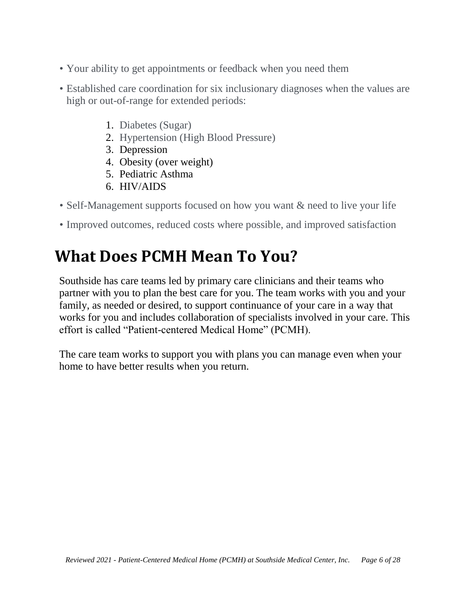- Your ability to get appointments or feedback when you need them
- Established care coordination for six inclusionary diagnoses when the values are high or out-of-range for extended periods:
	- 1. Diabetes (Sugar)
	- 2. Hypertension (High Blood Pressure)
	- 3. Depression
	- 4. Obesity (over weight)
	- 5. Pediatric Asthma
	- 6. HIV/AIDS
- Self-Management supports focused on how you want  $\&$  need to live your life
- Improved outcomes, reduced costs where possible, and improved satisfaction

# <span id="page-5-0"></span>**What Does PCMH Mean To You?**

Southside has care teams led by primary care clinicians and their teams who partner with you to plan the best care for you. The team works with you and your family, as needed or desired, to support continuance of your care in a way that works for you and includes collaboration of specialists involved in your care. This effort is called "Patient-centered Medical Home" (PCMH).

The care team works to support you with plans you can manage even when your home to have better results when you return.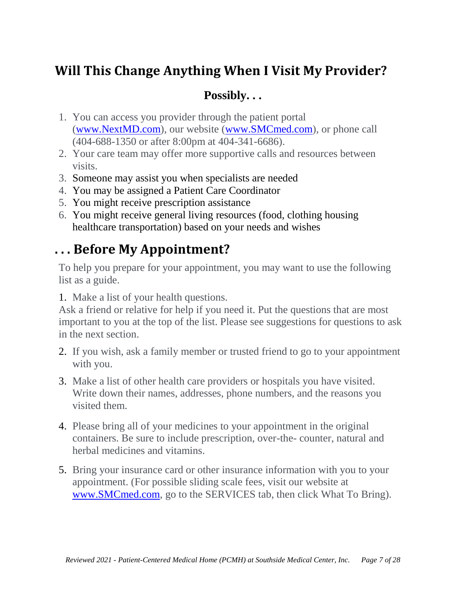# <span id="page-6-0"></span>**Will This Change Anything When I Visit My Provider?**

### **Possibly. . .**

- 1. You can access you provider through the patient portal [\(www.NextMD.com\)](http://www.nextmd.com/), our website [\(www.SMCmed.com\)](http://www.smcmed.com/), or phone call (404-688-1350 or after 8:00pm at 404-341-6686).
- 2. Your care team may offer more supportive calls and resources between visits.
- 3. Someone may assist you when specialists are needed
- 4. You may be assigned a Patient Care Coordinator
- 5. You might receive prescription assistance
- 6. You might receive general living resources (food, clothing housing healthcare transportation) based on your needs and wishes

# <span id="page-6-1"></span>**. . . Before My Appointment?**

To help you prepare for your appointment, you may want to use the following list as a guide.

1. Make a list of your health questions.

Ask a friend or relative for help if you need it. Put the questions that are most important to you at the top of the list. Please see suggestions for questions to ask in the next section.

- 2. If you wish, ask a family member or trusted friend to go to your appointment with you.
- 3. Make a list of other health care providers or hospitals you have visited. Write down their names, addresses, phone numbers, and the reasons you visited them.
- 4. Please bring all of your medicines to your appointment in the original containers. Be sure to include prescription, over-the- counter, natural and herbal medicines and vitamins.
- 5. Bring your insurance card or other insurance information with you to your appointment. (For possible sliding scale fees, visit our website at [www.SMCmed.com,](http://www.smcmed.com/) go to the SERVICES tab, then click What To Bring).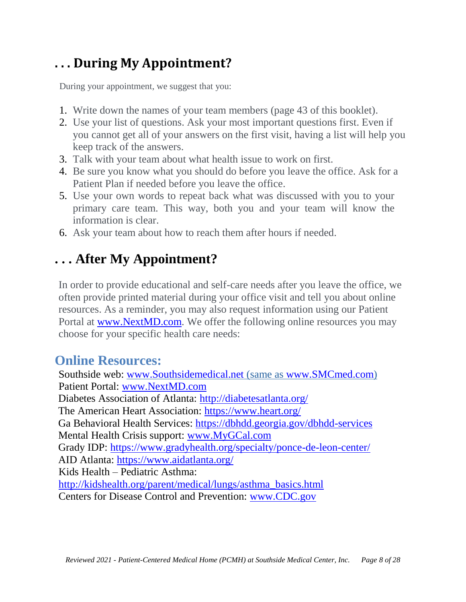# <span id="page-7-0"></span>**. . . During My Appointment?**

During your appointment, we suggest that you:

- 1. Write down the names of your team members (page 43 of this booklet).
- 2. Use your list of questions. Ask your most important questions first. Even if you cannot get all of your answers on the first visit, having a list will help you keep track of the answers.
- 3. Talk with your team about what health issue to work on first.
- 4. Be sure you know what you should do before you leave the office. Ask for a Patient Plan if needed before you leave the office.
- 5. Use your own words to repeat back what was discussed with you to your primary care team. This way, both you and your team will know the information is clear.
- 6. Ask your team about how to reach them after hours if needed.

# <span id="page-7-1"></span>**. . . After My Appointment?**

In order to provide educational and self-care needs after you leave the office, we often provide printed material during your office visit and tell you about online resources. As a reminder, you may also request information using our Patient Portal at [www.NextMD.com.](http://www.nextmd.com/) We offer the following online resources you may choose for your specific health care needs:

### <span id="page-7-2"></span>**Online Resources:**

Southside web: [www.Southsidemedical.net](http://www.southsidemedical.net/) (same as [www.SMCmed.com\)](http://www.smcmed.com/) Patient Portal: [www.NextMD.com](http://www.nextmd.com/) Diabetes Association of Atlanta:<http://diabetesatlanta.org/> The American Heart Association:<https://www.heart.org/> Ga Behavioral Health Services:<https://dbhdd.georgia.gov/dbhdd-services> Mental Health Crisis support: [www.MyGCal.com](http://www.mygcal.com/) Grady IDP: <https://www.gradyhealth.org/specialty/ponce-de-leon-center/> AID Atlanta:<https://www.aidatlanta.org/> Kids Health – Pediatric Asthma: [http://kidshealth.org/parent/medical/lungs/asthma\\_basics.html](http://kidshealth.org/parent/medical/lungs/asthma_basics.html) Centers for Disease Control and Prevention: [www.CDC.gov](http://www.cdc.gov/)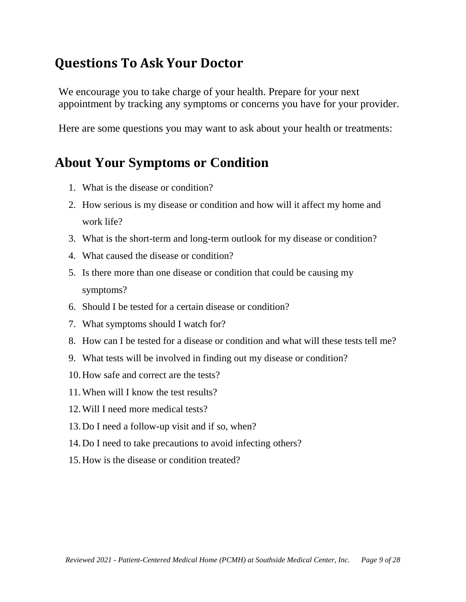## <span id="page-8-0"></span>**Questions To Ask Your Doctor**

We encourage you to take charge of your health. Prepare for your next appointment by tracking any symptoms or concerns you have for your provider.

Here are some questions you may want to ask about your health or treatments:

### <span id="page-8-1"></span>**About Your Symptoms or Condition**

- 1. What is the disease or condition?
- 2. How serious is my disease or condition and how will it affect my home and work life?
- 3. What is the short-term and long-term outlook for my disease or condition?
- 4. What caused the disease or condition?
- 5. Is there more than one disease or condition that could be causing my symptoms?
- 6. Should I be tested for a certain disease or condition?
- 7. What symptoms should I watch for?
- 8. How can I be tested for a disease or condition and what will these tests tell me?
- 9. What tests will be involved in finding out my disease or condition?
- 10.How safe and correct are the tests?
- 11.When will I know the test results?
- 12.Will I need more medical tests?
- 13.Do I need a follow-up visit and if so, when?
- 14.Do I need to take precautions to avoid infecting others?
- 15.How is the disease or condition treated?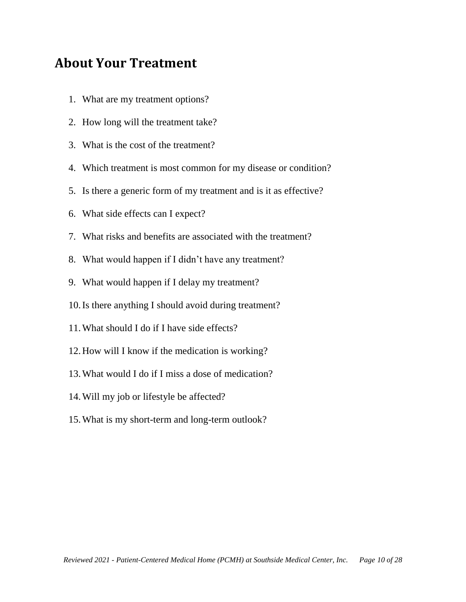### <span id="page-9-0"></span>**About Your Treatment**

- 1. What are my treatment options?
- 2. How long will the treatment take?
- 3. What is the cost of the treatment?
- 4. Which treatment is most common for my disease or condition?
- 5. Is there a generic form of my treatment and is it as effective?
- 6. What side effects can I expect?
- 7. What risks and benefits are associated with the treatment?
- 8. What would happen if I didn't have any treatment?
- 9. What would happen if I delay my treatment?
- 10.Is there anything I should avoid during treatment?
- 11.What should I do if I have side effects?
- 12.How will I know if the medication is working?
- 13.What would I do if I miss a dose of medication?
- 14.Will my job or lifestyle be affected?
- 15.What is my short-term and long-term outlook?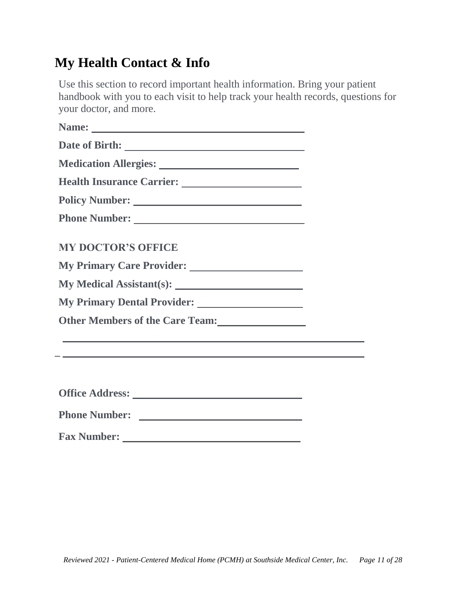# <span id="page-10-0"></span>**My Health Contact & Info**

Use this section to record important health information. Bring your patient handbook with you to each visit to help track your health records, questions for your doctor, and more.

| <b>MY DOCTOR'S OFFICE</b> |
|---------------------------|
|                           |
|                           |
|                           |
|                           |
|                           |
|                           |
|                           |

**Office Address:** 

**Phone Number:** 

**Fax Number:**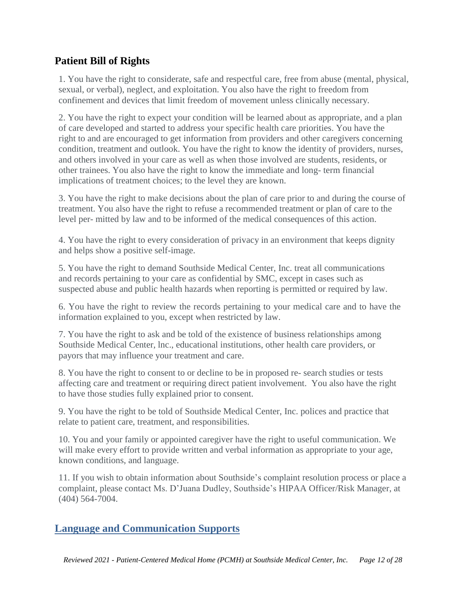### <span id="page-11-0"></span>**Patient Bill of Rights**

1. You have the right to considerate, safe and respectful care, free from abuse (mental, physical, sexual, or verbal), neglect, and exploitation. You also have the right to freedom from confinement and devices that limit freedom of movement unless clinically necessary.

2. You have the right to expect your condition will be learned about as appropriate, and a plan of care developed and started to address your specific health care priorities. You have the right to and are encouraged to get information from providers and other caregivers concerning condition, treatment and outlook. You have the right to know the identity of providers, nurses, and others involved in your care as well as when those involved are students, residents, or other trainees. You also have the right to know the immediate and long- term financial implications of treatment choices; to the level they are known.

3. You have the right to make decisions about the plan of care prior to and during the course of treatment. You also have the right to refuse a recommended treatment or plan of care to the level per- mitted by law and to be informed of the medical consequences of this action.

4. You have the right to every consideration of privacy in an environment that keeps dignity and helps show a positive self-image.

5. You have the right to demand Southside Medical Center, Inc. treat all communications and records pertaining to your care as confidential by SMC, except in cases such as suspected abuse and public health hazards when reporting is permitted or required by law.

6. You have the right to review the records pertaining to your medical care and to have the information explained to you, except when restricted by law.

7. You have the right to ask and be told of the existence of business relationships among Southside Medical Center, lnc., educational institutions, other health care providers, or payors that may influence your treatment and care.

8. You have the right to consent to or decline to be in proposed re- search studies or tests affecting care and treatment or requiring direct patient involvement. You also have the right to have those studies fully explained prior to consent.

9. You have the right to be told of Southside Medical Center, Inc. polices and practice that relate to patient care, treatment, and responsibilities.

10. You and your family or appointed caregiver have the right to useful communication. We will make every effort to provide written and verbal information as appropriate to your age, known conditions, and language.

11. If you wish to obtain information about Southside's complaint resolution process or place a complaint, please contact Ms. D'Juana Dudley, Southside's HIPAA Officer/Risk Manager, at (404) 564-7004.

### <span id="page-11-1"></span>**Language and Communication Supports**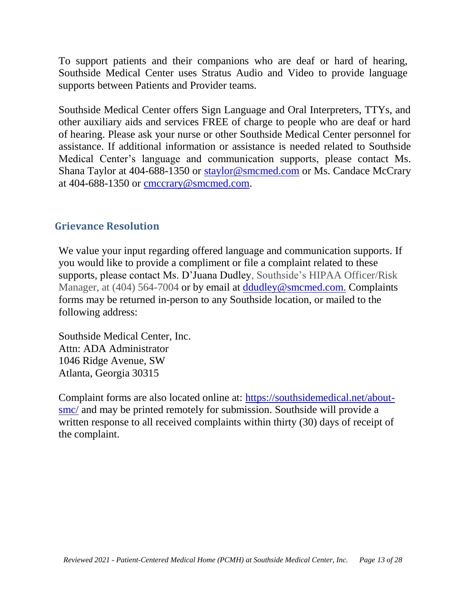To support patients and their companions who are deaf or hard of hearing, Southside Medical Center uses Stratus Audio and Video to provide language supports between Patients and Provider teams.

Southside Medical Center offers Sign Language and Oral Interpreters, TTYs, and other auxiliary aids and services FREE of charge to people who are deaf or hard of hearing. Please ask your nurse or other Southside Medical Center personnel for assistance. If additional information or assistance is needed related to Southside Medical Center's language and communication supports, please contact Ms. Shana Taylor at 404-688-1350 or [staylor@smcmed.com](mailto:staylor@smcmed.com) or Ms. Candace McCrary at 404-688-1350 or [cmccrary@smcmed.com.](mailto:cmccrary@smcmed.com)

### **Grievance Resolution**

We value your input regarding offered language and communication supports. If you would like to provide a compliment or file a complaint related to these supports, please contact Ms. D'Juana Dudley, Southside's HIPAA Officer/Risk Manager, at (404) 564-7004 or by email at [ddudley@smcmed.com.](mailto:ddudley@smcmed.com) Complaints forms may be returned in-person to any Southside location, or mailed to the following address:

Southside Medical Center, Inc. Attn: ADA Administrator 1046 Ridge Avenue, SW Atlanta, Georgia 30315

Complaint forms are also located online at: [https://southsidemedical.net/about](https://southsidemedical.net/about-smc/)[smc/](https://southsidemedical.net/about-smc/) and may be printed remotely for submission. Southside will provide a written response to all received complaints within thirty (30) days of receipt of the complaint.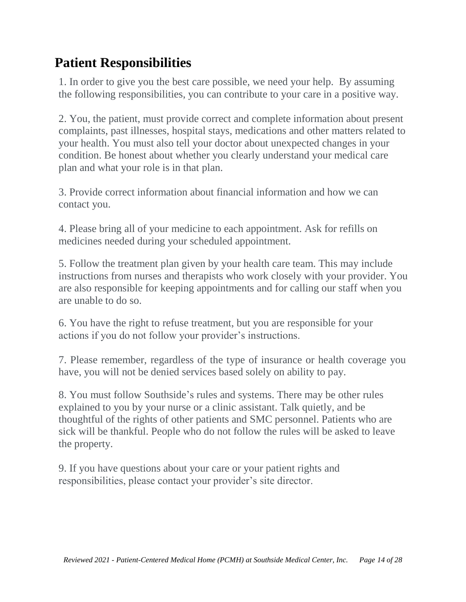# <span id="page-13-0"></span>**Patient Responsibilities**

1. In order to give you the best care possible, we need your help. By assuming the following responsibilities, you can contribute to your care in a positive way.

2. You, the patient, must provide correct and complete information about present complaints, past illnesses, hospital stays, medications and other matters related to your health. You must also tell your doctor about unexpected changes in your condition. Be honest about whether you clearly understand your medical care plan and what your role is in that plan.

3. Provide correct information about financial information and how we can contact you.

4. Please bring all of your medicine to each appointment. Ask for refills on medicines needed during your scheduled appointment.

5. Follow the treatment plan given by your health care team. This may include instructions from nurses and therapists who work closely with your provider. You are also responsible for keeping appointments and for calling our staff when you are unable to do so.

6. You have the right to refuse treatment, but you are responsible for your actions if you do not follow your provider's instructions.

7. Please remember, regardless of the type of insurance or health coverage you have, you will not be denied services based solely on ability to pay.

8. You must follow Southside's rules and systems. There may be other rules explained to you by your nurse or a clinic assistant. Talk quietly, and be thoughtful of the rights of other patients and SMC personnel. Patients who are sick will be thankful. People who do not follow the rules will be asked to leave the property.

9. If you have questions about your care or your patient rights and responsibilities, please contact your provider's site director.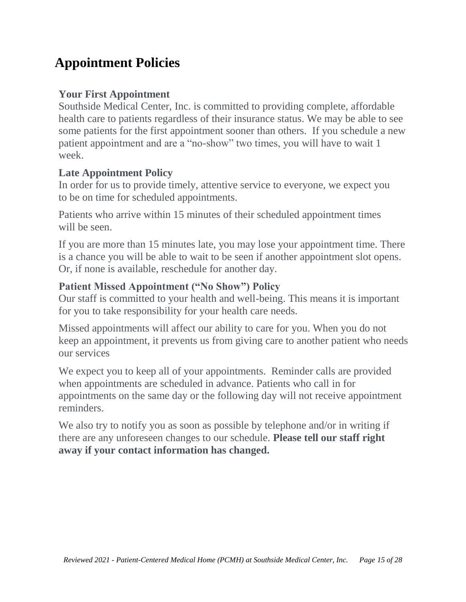# <span id="page-14-0"></span>**Appointment Policies**

### **Your First Appointment**

Southside Medical Center, Inc. is committed to providing complete, affordable health care to patients regardless of their insurance status. We may be able to see some patients for the first appointment sooner than others. If you schedule a new patient appointment and are a "no-show" two times, you will have to wait 1 week.

### **Late Appointment Policy**

In order for us to provide timely, attentive service to everyone, we expect you to be on time for scheduled appointments.

Patients who arrive within 15 minutes of their scheduled appointment times will be seen.

If you are more than 15 minutes late, you may lose your appointment time. There is a chance you will be able to wait to be seen if another appointment slot opens. Or, if none is available, reschedule for another day.

### **Patient Missed Appointment ("No Show") Policy**

Our staff is committed to your health and well-being. This means it is important for you to take responsibility for your health care needs.

Missed appointments will affect our ability to care for you. When you do not keep an appointment, it prevents us from giving care to another patient who needs our services

We expect you to keep all of your appointments. Reminder calls are provided when appointments are scheduled in advance. Patients who call in for appointments on the same day or the following day will not receive appointment reminders.

We also try to notify you as soon as possible by telephone and/or in writing if there are any unforeseen changes to our schedule. **Please tell our staff right away if your contact information has changed.**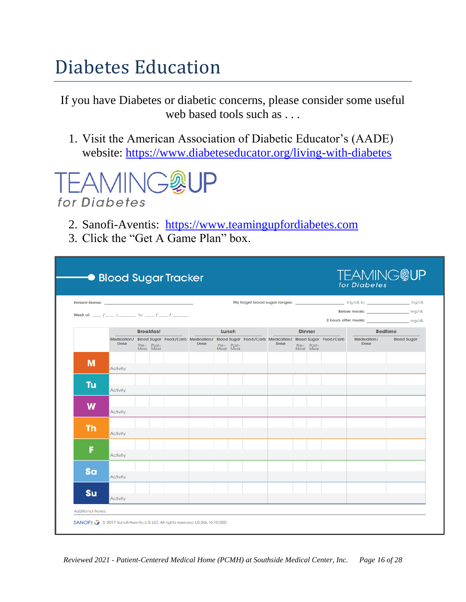# Diabetes Education

If you have Diabetes or diabetic concerns, please consider some useful web based tools such as . . .

1. Visit the American Association of Diabetic Educator's (AADE) website:<https://www.diabeteseducator.org/living-with-diabetes>



- 2. Sanofi-Aventis: [https://www.teamingupfordiabetes.com](https://www.teamingupfordiabetes.com/)
- 3. Click the "Get A Game Plan" box.

| Patient Name: No. 2006. The Contract of the Contract of the Contract of the Contract of the Contract of the Contract of the Contract of the Contract of the Contract of the Contract of the Contract of the Contract of the Co |           |                                             |                                                                                                       |      |  |                         |               |      |  |                         |                                                                     |                                            |                    |
|--------------------------------------------------------------------------------------------------------------------------------------------------------------------------------------------------------------------------------|-----------|---------------------------------------------|-------------------------------------------------------------------------------------------------------|------|--|-------------------------|---------------|------|--|-------------------------|---------------------------------------------------------------------|--------------------------------------------|--------------------|
| Week of: __ / __ / __ _ to __ / __ / ____                                                                                                                                                                                      |           |                                             |                                                                                                       |      |  |                         |               |      |  |                         |                                                                     | Before meals: ______________________ mg/dL |                    |
|                                                                                                                                                                                                                                |           |                                             | Lunch                                                                                                 |      |  |                         | <b>Dinner</b> |      |  |                         | 2 hours after meals: ______________________ mg/dL<br><b>Bedtime</b> |                                            |                    |
|                                                                                                                                                                                                                                | Dose      | <b>Breakfast</b><br>Pre- Post-<br>Meal Meal | Medication/ Blood Sugar Food/Carb Medication/ Blood Sugar Food/Carb Medication/ Blood Sugar Food/Carb | Dose |  | Pre- Post-<br>Meal Meal |               | Dose |  | Pre- Post-<br>Meal Meal |                                                                     | Medication/<br><b>Dose</b>                 | <b>Blood Sugar</b> |
| M                                                                                                                                                                                                                              | Activity: |                                             |                                                                                                       |      |  |                         |               |      |  |                         |                                                                     |                                            |                    |
|                                                                                                                                                                                                                                |           |                                             |                                                                                                       |      |  |                         |               |      |  |                         |                                                                     |                                            |                    |
| Tu                                                                                                                                                                                                                             | Activity: |                                             |                                                                                                       |      |  |                         |               |      |  |                         |                                                                     |                                            |                    |
| W                                                                                                                                                                                                                              | Activity: |                                             |                                                                                                       |      |  |                         |               |      |  |                         |                                                                     |                                            |                    |
| <b>Th</b>                                                                                                                                                                                                                      | Activity: |                                             |                                                                                                       |      |  |                         |               |      |  |                         |                                                                     |                                            |                    |
| F                                                                                                                                                                                                                              | Activity: |                                             |                                                                                                       |      |  |                         |               |      |  |                         |                                                                     |                                            |                    |
|                                                                                                                                                                                                                                |           |                                             |                                                                                                       |      |  |                         |               |      |  |                         |                                                                     |                                            |                    |
| Sa                                                                                                                                                                                                                             | Activity: |                                             |                                                                                                       |      |  |                         |               |      |  |                         |                                                                     |                                            |                    |
| <b>Su</b>                                                                                                                                                                                                                      |           |                                             |                                                                                                       |      |  |                         |               |      |  |                         |                                                                     |                                            |                    |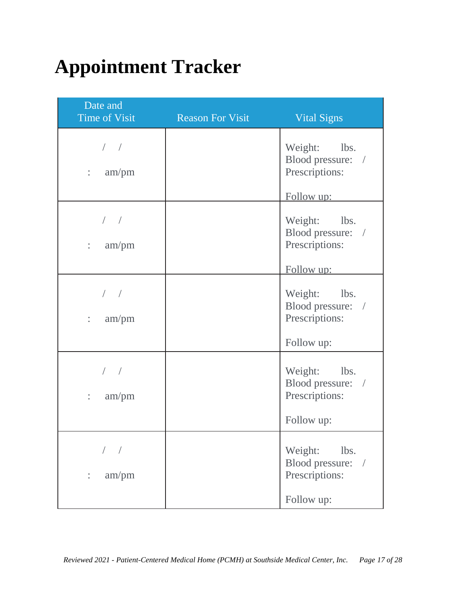# <span id="page-16-0"></span>**Appointment Tracker**

| Date and<br><b>Time of Visit</b>   | <b>Reason For Visit</b> | <b>Vital Signs</b>                                                              |
|------------------------------------|-------------------------|---------------------------------------------------------------------------------|
| $/$ /<br>am/pm<br>$\ddot{\cdot}$   |                         | Weight: lbs.<br>Blood pressure: /<br>Prescriptions:                             |
| $/$ $/$<br>am/pm<br>$\ddot{\cdot}$ |                         | Follow up:<br>Weight: lbs.<br>Blood pressure: /<br>Prescriptions:<br>Follow up: |
| $/$ $/$<br>am/pm<br>$\ddot{\cdot}$ |                         | Weight: lbs.<br>Blood pressure: /<br>Prescriptions:<br>Follow up:               |
| $\ddot{\cdot}$<br>am/pm            |                         | Weight: lbs.<br>Blood pressure: /<br>Prescriptions:<br>Follow up:               |
| am/pm                              |                         | Weight:<br>lbs.<br>Blood pressure:<br>$\bigg)$<br>Prescriptions:<br>Follow up:  |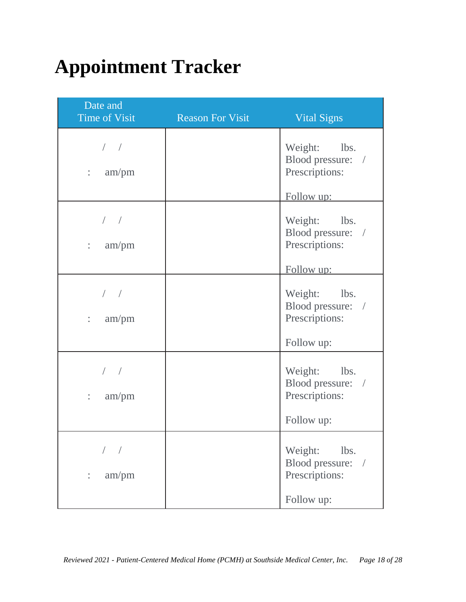# <span id="page-17-0"></span>**Appointment Tracker**

| Date and<br><b>Time of Visit</b>   | <b>Reason For Visit</b> | <b>Vital Signs</b>                                                              |
|------------------------------------|-------------------------|---------------------------------------------------------------------------------|
| $/$ /<br>am/pm<br>$\ddot{\cdot}$   |                         | Weight: lbs.<br>Blood pressure: /<br>Prescriptions:                             |
| $/$ $/$<br>am/pm<br>$\ddot{\cdot}$ |                         | Follow up:<br>Weight: lbs.<br>Blood pressure: /<br>Prescriptions:<br>Follow up: |
| $/$ $/$<br>am/pm<br>$\ddot{\cdot}$ |                         | Weight: lbs.<br>Blood pressure: /<br>Prescriptions:<br>Follow up:               |
| $\ddot{\cdot}$<br>am/pm            |                         | Weight: lbs.<br>Blood pressure: /<br>Prescriptions:<br>Follow up:               |
| am/pm                              |                         | Weight:<br>lbs.<br>Blood pressure:<br>$\bigg)$<br>Prescriptions:<br>Follow up:  |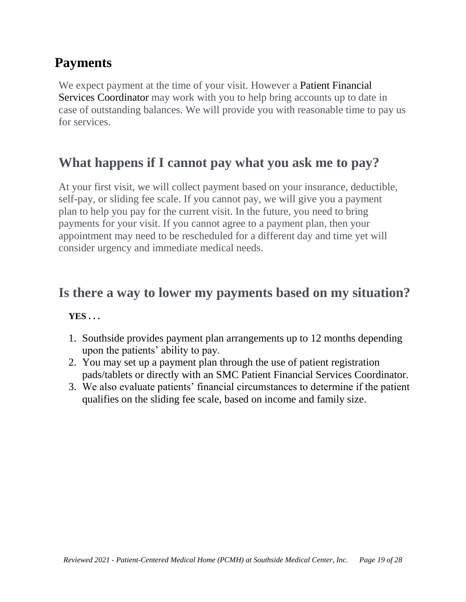## <span id="page-18-0"></span>**Payments**

We expect payment at the time of your visit. However a Patient Financial Services Coordinator may work with you to help bring accounts up to date in case of outstanding balances. We will provide you with reasonable time to pay us for services.

## **What happens if I cannot pay what you ask me to pay?**

At your first visit, we will collect payment based on your insurance, deductible, self-pay, or sliding fee scale. If you cannot pay, we will give you a payment plan to help you pay for the current visit. In the future, you need to bring payments for your visit. If you cannot agree to a payment plan, then your appointment may need to be rescheduled for a different day and time yet will consider urgency and immediate medical needs.

### **Is there a way to lower my payments based on my situation?**

### **YES . . .**

- 1. Southside provides payment plan arrangements up to 12 months depending upon the patients' ability to pay.
- 2. You may set up a payment plan through the use of patient registration pads/tablets or directly with an SMC Patient Financial Services Coordinator.
- 3. We also evaluate patients' financial circumstances to determine if the patient qualifies on the sliding fee scale, based on income and family size.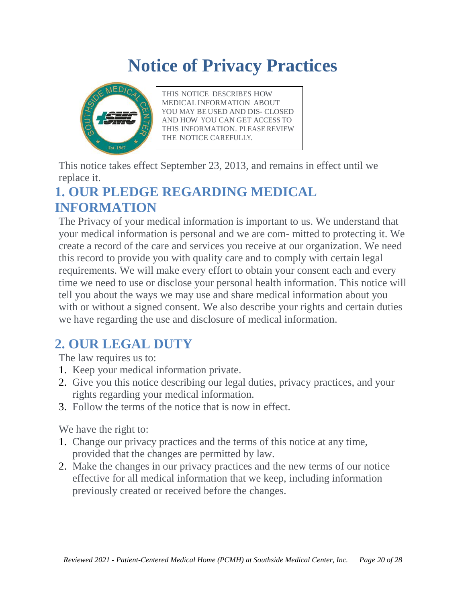# **Notice of Privacy Practices**

<span id="page-19-0"></span>

THIS NOTICE DESCRIBES HOW MEDICALINFORMATION ABOUT YOU MAY BE USED AND DIS- CLOSED AND HOW YOU CAN GET ACCESS TO THIS INFORMATION. PLEASE REVIEW THE NOTICE CAREFULLY.

This notice takes effect September 23, 2013, and remains in effect until we replace it.

# <span id="page-19-1"></span>**1. OUR PLEDGE REGARDING MEDICAL INFORMATION**

The Privacy of your medical information is important to us. We understand that your medical information is personal and we are com- mitted to protecting it. We create a record of the care and services you receive at our organization. We need this record to provide you with quality care and to comply with certain legal requirements. We will make every effort to obtain your consent each and every time we need to use or disclose your personal health information. This notice will tell you about the ways we may use and share medical information about you with or without a signed consent. We also describe your rights and certain duties we have regarding the use and disclosure of medical information.

# <span id="page-19-2"></span>**2. OUR LEGAL DUTY**

The law requires us to:

- 1. Keep your medical information private.
- 2. Give you this notice describing our legal duties, privacy practices, and your rights regarding your medical information.
- 3. Follow the terms of the notice that is now in effect.

We have the right to:

- 1. Change our privacy practices and the terms of this notice at any time, provided that the changes are permitted by law.
- 2. Make the changes in our privacy practices and the new terms of our notice effective for all medical information that we keep, including information previously created or received before the changes.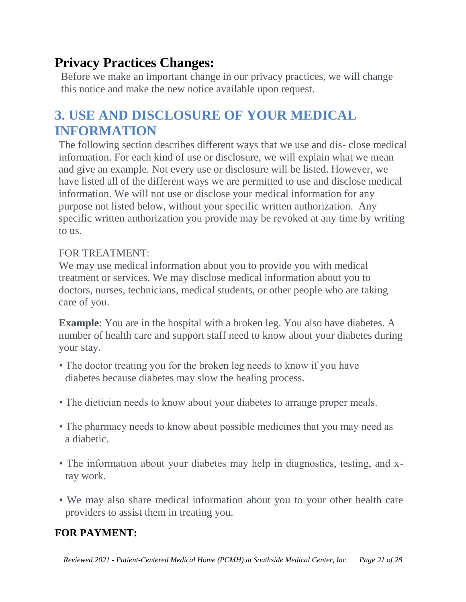# <span id="page-20-0"></span>**Privacy Practices Changes:**

Before we make an important change in our privacy practices, we will change this notice and make the new notice available upon request.

# <span id="page-20-1"></span>**3. USE AND DISCLOSURE OF YOUR MEDICAL INFORMATION**

The following section describes different ways that we use and dis- close medical information. For each kind of use or disclosure, we will explain what we mean and give an example. Not every use or disclosure will be listed. However, we have listed all of the different ways we are permitted to use and disclose medical information. We will not use or disclose your medical information for any purpose not listed below, without your specific written authorization. Any specific written authorization you provide may be revoked at any time by writing to us.

### FOR TREATMENT:

We may use medical information about you to provide you with medical treatment or services. We may disclose medical information about you to doctors, nurses, technicians, medical students, or other people who are taking care of you.

**Example**: You are in the hospital with a broken leg. You also have diabetes. A number of health care and support staff need to know about your diabetes during your stay.

- The doctor treating you for the broken leg needs to know if you have diabetes because diabetes may slow the healing process.
- The dietician needs to know about your diabetes to arrange proper meals.
- The pharmacy needs to know about possible medicines that you may need as a diabetic.
- The information about your diabetes may help in diagnostics, testing, and xray work.
- We may also share medical information about you to your other health care providers to assist them in treating you.

### **FOR PAYMENT:**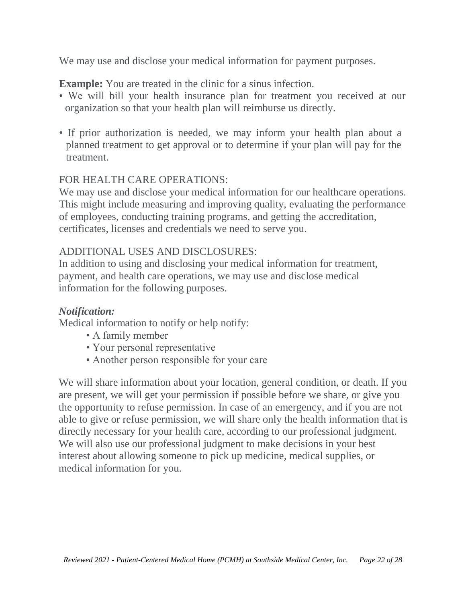We may use and disclose your medical information for payment purposes.

**Example:** You are treated in the clinic for a sinus infection.

- We will bill your health insurance plan for treatment you received at our organization so that your health plan will reimburse us directly.
- If prior authorization is needed, we may inform your health plan about a planned treatment to get approval or to determine if your plan will pay for the treatment.

### FOR HEALTH CARE OPERATIONS:

We may use and disclose your medical information for our healthcare operations. This might include measuring and improving quality, evaluating the performance of employees, conducting training programs, and getting the accreditation, certificates, licenses and credentials we need to serve you.

### ADDITIONAL USES AND DISCLOSURES:

In addition to using and disclosing your medical information for treatment, payment, and health care operations, we may use and disclose medical information for the following purposes.

### *Notification:*

Medical information to notify or help notify:

- A family member
- Your personal representative
- Another person responsible for your care

We will share information about your location, general condition, or death. If you are present, we will get your permission if possible before we share, or give you the opportunity to refuse permission. In case of an emergency, and if you are not able to give or refuse permission, we will share only the health information that is directly necessary for your health care, according to our professional judgment. We will also use our professional judgment to make decisions in your best interest about allowing someone to pick up medicine, medical supplies, or medical information for you.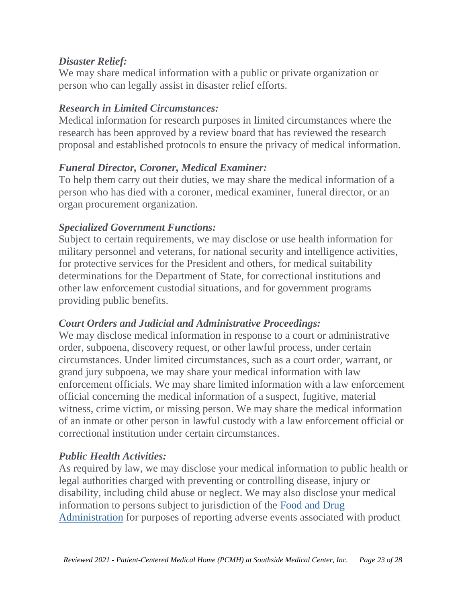### *Disaster Relief:*

We may share medical information with a public or private organization or person who can legally assist in disaster relief efforts.

### *Research in Limited Circumstances:*

Medical information for research purposes in limited circumstances where the research has been approved by a review board that has reviewed the research proposal and established protocols to ensure the privacy of medical information.

### *Funeral Director, Coroner, Medical Examiner:*

To help them carry out their duties, we may share the medical information of a person who has died with a coroner, medical examiner, funeral director, or an organ procurement organization.

### *Specialized Government Functions:*

Subject to certain requirements, we may disclose or use health information for military personnel and veterans, for national security and intelligence activities, for protective services for the President and others, for medical suitability determinations for the Department of State, for correctional institutions and other law enforcement custodial situations, and for government programs providing public benefits.

### *Court Orders and Judicial and Administrative Proceedings:*

We may disclose medical information in response to a court or administrative order, subpoena, discovery request, or other lawful process, under certain circumstances. Under limited circumstances, such as a court order, warrant, or grand jury subpoena, we may share your medical information with law enforcement officials. We may share limited information with a law enforcement official concerning the medical information of a suspect, fugitive, material witness, crime victim, or missing person. We may share the medical information of an inmate or other person in lawful custody with a law enforcement official or correctional institution under certain circumstances.

### *Public Health Activities:*

As required by law, we may disclose your medical information to public health or legal authorities charged with preventing or controlling disease, injury or disability, including child abuse or neglect. We may also disclose your medical information to persons subject to jurisdiction of the Food and Drug Administration for purposes of reporting adverse events associated with product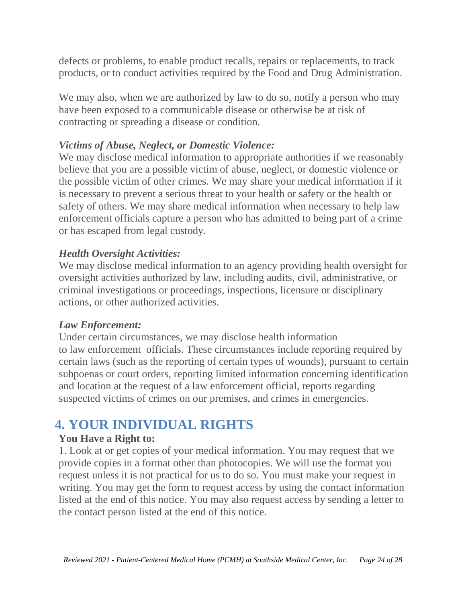defects or problems, to enable product recalls, repairs or replacements, to track products, or to conduct activities required by the Food and Drug Administration.

We may also, when we are authorized by law to do so, notify a person who may have been exposed to a communicable disease or otherwise be at risk of contracting or spreading a disease or condition.

### *Victims of Abuse, Neglect, or Domestic Violence:*

We may disclose medical information to appropriate authorities if we reasonably believe that you are a possible victim of abuse, neglect, or domestic violence or the possible victim of other crimes. We may share your medical information if it is necessary to prevent a serious threat to your health or safety or the health or safety of others. We may share medical information when necessary to help law enforcement officials capture a person who has admitted to being part of a crime or has escaped from legal custody.

### *Health Oversight Activities:*

We may disclose medical information to an agency providing health oversight for oversight activities authorized by law, including audits, civil, administrative, or criminal investigations or proceedings, inspections, licensure or disciplinary actions, or other authorized activities.

### *Law Enforcement:*

Under certain circumstances, we may disclose health information to law enforcement officials. These circumstances include reporting required by certain laws (such as the reporting of certain types of wounds), pursuant to certain subpoenas or court orders, reporting limited information concerning identification and location at the request of a law enforcement official, reports regarding suspected victims of crimes on our premises, and crimes in emergencies.

# <span id="page-23-0"></span>**4. YOUR INDIVIDUAL RIGHTS**

### **You Have a Right to:**

1. Look at or get copies of your medical information. You may request that we provide copies in a format other than photocopies. We will use the format you request unless it is not practical for us to do so. You must make your request in writing. You may get the form to request access by using the contact information listed at the end of this notice. You may also request access by sending a letter to the contact person listed at the end of this notice.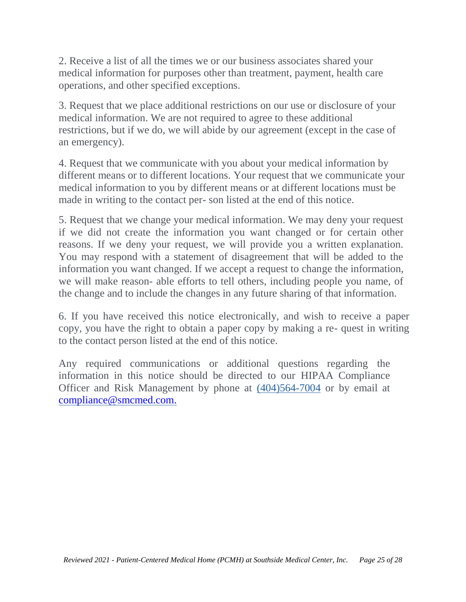2. Receive a list of all the times we or our business associates shared your medical information for purposes other than treatment, payment, health care operations, and other specified exceptions.

3. Request that we place additional restrictions on our use or disclosure of your medical information. We are not required to agree to these additional restrictions, but if we do, we will abide by our agreement (except in the case of an emergency).

4. Request that we communicate with you about your medical information by different means or to different locations. Your request that we communicate your medical information to you by different means or at different locations must be made in writing to the contact per- son listed at the end of this notice.

5. Request that we change your medical information. We may deny your request if we did not create the information you want changed or for certain other reasons. If we deny your request, we will provide you a written explanation. You may respond with a statement of disagreement that will be added to the information you want changed. If we accept a request to change the information, we will make reason- able efforts to tell others, including people you name, of the change and to include the changes in any future sharing of that information.

6. If you have received this notice electronically, and wish to receive a paper copy, you have the right to obtain a paper copy by making a re- quest in writing to the contact person listed at the end of this notice.

Any required communications or additional questions regarding the information in this notice should be directed to our HIPAA Compliance Officer and Risk Management by phone at (404)564-7004 or by email at [compliance@smcmed.com.](mailto:compliance@smcmed.com)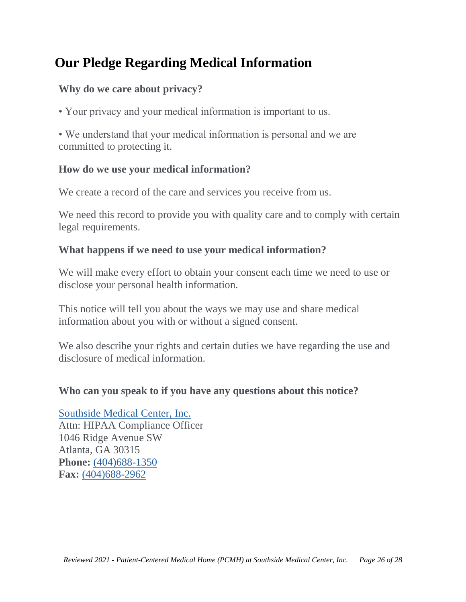# <span id="page-25-0"></span>**Our Pledge Regarding Medical Information**

### **Why do we care about privacy?**

• Your privacy and your medical information is important to us.

• We understand that your medical information is personal and we are committed to protecting it.

### **How do we use your medical information?**

We create a record of the care and services you receive from us.

We need this record to provide you with quality care and to comply with certain legal requirements.

### **What happens if we need to use your medical information?**

We will make every effort to obtain your consent each time we need to use or disclose your personal health information.

This notice will tell you about the ways we may use and share medical information about you with or without a signed consent.

We also describe your rights and certain duties we have regarding the use and disclosure of medical information.

### **Who can you speak to if you have any questions about this notice?**

Southside Medical Center, Inc.

Attn: HIPAA Compliance Officer 1046 Ridge Avenue SW Atlanta, GA 30315 **Phone:** (404)688-1350 **Fax:** (404)688-2962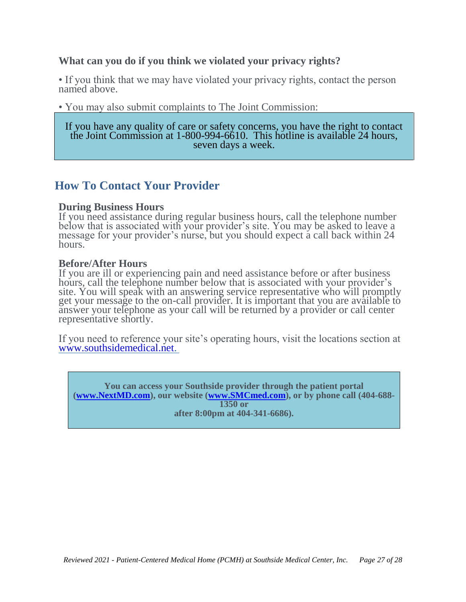#### **What can you do if you think we violated your privacy rights?**

• If you think that we may have violated your privacy rights, contact the person named above.

• You may also submit complaints to The Joint Commission:

If you have any quality of care or safety concerns, you have the right to contact the Joint Commission at 1-800-994-6610. This hotline is available 24 hours, seven days a week.

### <span id="page-26-0"></span>**How To Contact Your Provider**

#### **During Business Hours**

If you need assistance during regular business hours, call the telephone number below that is associated with your provider's site. You may be asked to leave a message for your provider's nurse, but you should expect a call back within 24 hours.

#### **Before/After Hours**

If you are ill or experiencing pain and need assistance before or after business hours, call the telephone number below that is associated with your provider's site. You will speak with an answering service representative who will promptly get your message to the on-call provider. It is important that you are available to answer your telephone as your call will be returned by a provider or call center representative shortly.

If you need to reference your site's operating hours, visit the locations section at [www.southsidemedical.net.](http://www.southsidemedical.net/)

**You can access your Southside provider through the patient portal [\(www.NextMD.com\)](http://www.nextmd.com/), our website [\(www.SMCmed.com\)](http://www.smcmed.com/), or by phone call (404-688- 1350 or after 8:00pm at 404-341-6686).**